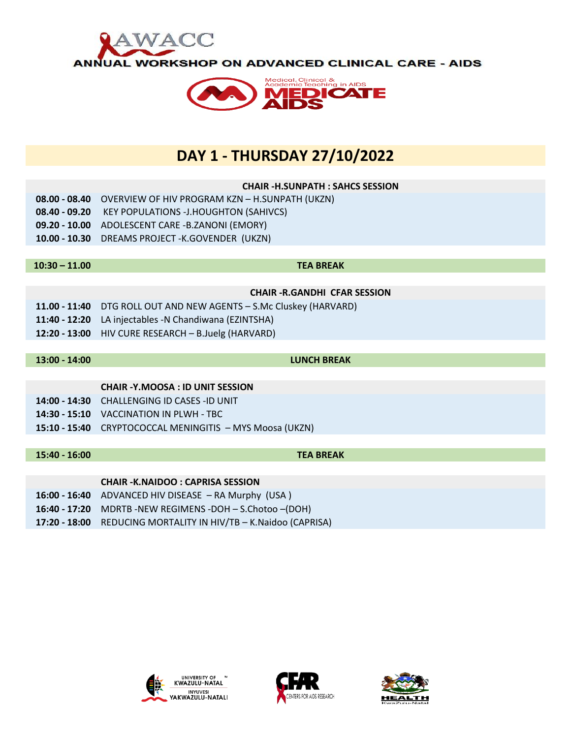



## **DAY 1 - THURSDAY 27/10/2022**

## **CHAIR -H.SUNPATH : SAHCS SESSION 08.00 - 08.40** OVERVIEW OF HIV PROGRAM KZN – H.SUNPATH (UKZN) **08.40 - 09.20** KEY POPULATIONS -J.HOUGHTON (SAHIVCS) **09.20 - 10.00** ADOLESCENT CARE -B.ZANONI (EMORY) **10.00 - 10.30** DREAMS PROJECT -K.GOVENDER (UKZN) **10:30 – 11.00 TEA BREAK CHAIR -R.GANDHI CFAR SESSION 11.00 - 11:40** DTG ROLL OUT AND NEW AGENTS – S.Mc Cluskey (HARVARD) **11:40 - 12:20** LA injectables -N Chandiwana (EZINTSHA) **12:20 - 13:00** HIV CURE RESEARCH – B.Juelg (HARVARD) **13:00 - 14:00 LUNCH BREAK CHAIR -Y.MOOSA : ID UNIT SESSION 14:00 - 14:30** CHALLENGING ID CASES -ID UNIT **14:30 - 15:10** VACCINATION IN PLWH - TBC **15:10 - 15:40** CRYPTOCOCCAL MENINGITIS – MYS Moosa (UKZN) **15:40 - 16:00 TEA BREAK**

## **CHAIR -K.NAIDOO : CAPRISA SESSION**

- **16:00 - 16:40** ADVANCED HIV DISEASE RA Murphy (USA )
- **16:40 - 17:20** MDRTB -NEW REGIMENS -DOH S.Chotoo –(DOH)
- **17:20 - 18:00** REDUCING MORTALITY IN HIV/TB K.Naidoo (CAPRISA)